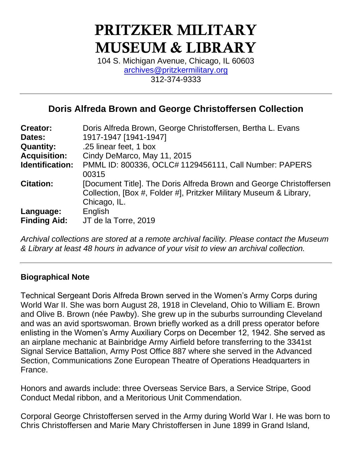# PRITZKER MILITARY MUSEUM & LIBRARY

104 S. Michigan Avenue, Chicago, IL 60603 [archives@pritzkermilitary.org](mailto:archives@pritzkermilitary.org) 312-374-9333

# **Doris Alfreda Brown and George Christoffersen Collection**

| <b>Creator:</b>                  | Doris Alfreda Brown, George Christoffersen, Bertha L. Evans                                                                                               |
|----------------------------------|-----------------------------------------------------------------------------------------------------------------------------------------------------------|
| Dates:                           | 1917-1947 [1941-1947]                                                                                                                                     |
| <b>Quantity:</b>                 | .25 linear feet, 1 box                                                                                                                                    |
| <b>Acquisition:</b>              | Cindy DeMarco, May 11, 2015                                                                                                                               |
| Identification:                  | PMML ID: 800336, OCLC# 1129456111, Call Number: PAPERS<br>00315                                                                                           |
| <b>Citation:</b>                 | [Document Title]. The Doris Alfreda Brown and George Christoffersen<br>Collection, [Box #, Folder #], Pritzker Military Museum & Library,<br>Chicago, IL. |
| Language:<br><b>Finding Aid:</b> | English<br>JT de la Torre, 2019                                                                                                                           |

*Archival collections are stored at a remote archival facility. Please contact the Museum & Library at least 48 hours in advance of your visit to view an archival collection.*

#### **Biographical Note**

Technical Sergeant Doris Alfreda Brown served in the Women's Army Corps during World War II. She was born August 28, 1918 in Cleveland, Ohio to William E. Brown and Olive B. Brown (née Pawby). She grew up in the suburbs surrounding Cleveland and was an avid sportswoman. Brown briefly worked as a drill press operator before enlisting in the Women's Army Auxiliary Corps on December 12, 1942. She served as an airplane mechanic at Bainbridge Army Airfield before transferring to the 3341st Signal Service Battalion, Army Post Office 887 where she served in the Advanced Section, Communications Zone European Theatre of Operations Headquarters in France.

Honors and awards include: three Overseas Service Bars, a Service Stripe, Good Conduct Medal ribbon, and a Meritorious Unit Commendation.

Corporal George Christoffersen served in the Army during World War I. He was born to Chris Christoffersen and Marie Mary Christoffersen in June 1899 in Grand Island,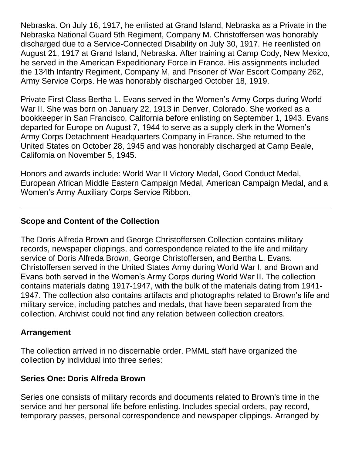Nebraska. On July 16, 1917, he enlisted at Grand Island, Nebraska as a Private in the Nebraska National Guard 5th Regiment, Company M. Christoffersen was honorably discharged due to a Service-Connected Disability on July 30, 1917. He reenlisted on August 21, 1917 at Grand Island, Nebraska. After training at Camp Cody, New Mexico, he served in the American Expeditionary Force in France. His assignments included the 134th Infantry Regiment, Company M, and Prisoner of War Escort Company 262, Army Service Corps. He was honorably discharged October 18, 1919.

Private First Class Bertha L. Evans served in the Women's Army Corps during World War II. She was born on January 22, 1913 in Denver, Colorado. She worked as a bookkeeper in San Francisco, California before enlisting on September 1, 1943. Evans departed for Europe on August 7, 1944 to serve as a supply clerk in the Women's Army Corps Detachment Headquarters Company in France. She returned to the United States on October 28, 1945 and was honorably discharged at Camp Beale, California on November 5, 1945.

Honors and awards include: World War II Victory Medal, Good Conduct Medal, European African Middle Eastern Campaign Medal, American Campaign Medal, and a Women's Army Auxiliary Corps Service Ribbon.

# **Scope and Content of the Collection**

The Doris Alfreda Brown and George Christoffersen Collection contains military records, newspaper clippings, and correspondence related to the life and military service of Doris Alfreda Brown, George Christoffersen, and Bertha L. Evans. Christoffersen served in the United States Army during World War I, and Brown and Evans both served in the Women's Army Corps during World War II. The collection contains materials dating 1917-1947, with the bulk of the materials dating from 1941- 1947. The collection also contains artifacts and photographs related to Brown's life and military service, including patches and medals, that have been separated from the collection. Archivist could not find any relation between collection creators.

# **Arrangement**

The collection arrived in no discernable order. PMML staff have organized the collection by individual into three series:

#### **Series One: Doris Alfreda Brown**

Series one consists of military records and documents related to Brown's time in the service and her personal life before enlisting. Includes special orders, pay record, temporary passes, personal correspondence and newspaper clippings. Arranged by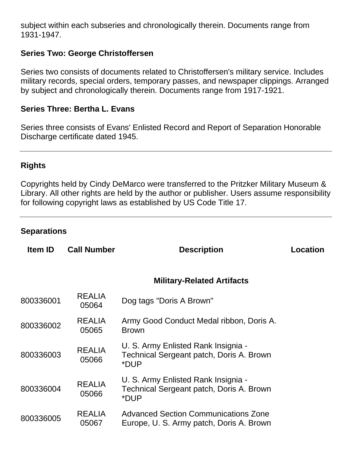subject within each subseries and chronologically therein. Documents range from 1931-1947.

## **Series Two: George Christoffersen**

Series two consists of documents related to Christoffersen's military service. Includes military records, special orders, temporary passes, and newspaper clippings. Arranged by subject and chronologically therein. Documents range from 1917-1921.

#### **Series Three: Bertha L. Evans**

Series three consists of Evans' Enlisted Record and Report of Separation Honorable Discharge certificate dated 1945.

#### **Rights**

Copyrights held by Cindy DeMarco were transferred to the Pritzker Military Museum & Library. All other rights are held by the author or publisher. Users assume responsibility for following copyright laws as established by US Code Title 17.

#### **Separations**

| <b>Item ID</b> | <b>Call Number</b>     | <b>Description</b>                                                                      | <b>Location</b> |
|----------------|------------------------|-----------------------------------------------------------------------------------------|-----------------|
|                |                        | <b>Military-Related Artifacts</b>                                                       |                 |
| 800336001      | <b>REALIA</b><br>05064 | Dog tags "Doris A Brown"                                                                |                 |
| 800336002      | <b>REALIA</b><br>05065 | Army Good Conduct Medal ribbon, Doris A.<br><b>Brown</b>                                |                 |
| 800336003      | <b>REALIA</b><br>05066 | U. S. Army Enlisted Rank Insignia -<br>Technical Sergeant patch, Doris A. Brown<br>*DUP |                 |
| 800336004      | <b>REALIA</b><br>05066 | U. S. Army Enlisted Rank Insignia -<br>Technical Sergeant patch, Doris A. Brown<br>*DUP |                 |
| 800336005      | <b>REALIA</b><br>05067 | <b>Advanced Section Communications Zone</b><br>Europe, U. S. Army patch, Doris A. Brown |                 |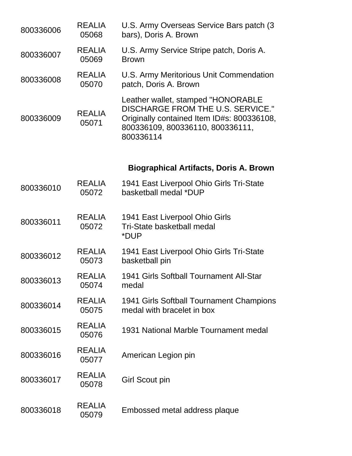| 800336006 | <b>REALIA</b><br>05068 | U.S. Army Overseas Service Bars patch (3)<br>bars), Doris A. Brown                                                                                                            |
|-----------|------------------------|-------------------------------------------------------------------------------------------------------------------------------------------------------------------------------|
| 800336007 | <b>REALIA</b><br>05069 | U.S. Army Service Stripe patch, Doris A.<br><b>Brown</b>                                                                                                                      |
| 800336008 | <b>REALIA</b><br>05070 | U.S. Army Meritorious Unit Commendation<br>patch, Doris A. Brown                                                                                                              |
| 800336009 | <b>REALIA</b><br>05071 | Leather wallet, stamped "HONORABLE<br><b>DISCHARGE FROM THE U.S. SERVICE."</b><br>Originally contained Item ID#s: 800336108,<br>800336109, 800336110, 800336111,<br>800336114 |
|           |                        | <b>Biographical Artifacts, Doris A. Brown</b>                                                                                                                                 |
| 800336010 | <b>REALIA</b><br>05072 | 1941 East Liverpool Ohio Girls Tri-State<br>basketball medal *DUP                                                                                                             |
| 800336011 | <b>REALIA</b><br>05072 | 1941 East Liverpool Ohio Girls<br>Tri-State basketball medal<br>*DUP                                                                                                          |
| 800336012 | <b>REALIA</b><br>05073 | 1941 East Liverpool Ohio Girls Tri-State<br>basketball pin                                                                                                                    |
| 800336013 | REALIA<br>05074        | 1941 Girls Softball Tournament All-Star<br>medal                                                                                                                              |
| 800336014 | <b>REALIA</b><br>05075 | 1941 Girls Softball Tournament Champions<br>medal with bracelet in box                                                                                                        |
| 800336015 | <b>REALIA</b><br>05076 | 1931 National Marble Tournament medal                                                                                                                                         |
| 800336016 | <b>REALIA</b><br>05077 | American Legion pin                                                                                                                                                           |
| 800336017 | <b>REALIA</b><br>05078 | <b>Girl Scout pin</b>                                                                                                                                                         |
| 800336018 | <b>REALIA</b><br>05079 | Embossed metal address plaque                                                                                                                                                 |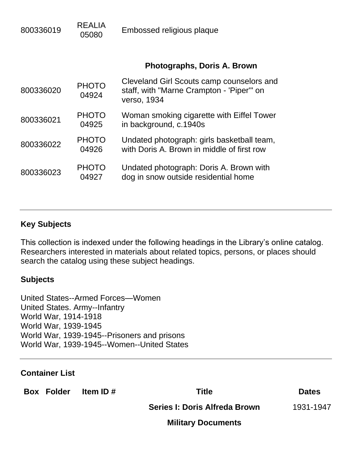| 800336019 | <b>REALIA</b><br>05080 | Embossed religious plaque                                                                             |
|-----------|------------------------|-------------------------------------------------------------------------------------------------------|
|           |                        | Photographs, Doris A. Brown                                                                           |
| 800336020 | <b>PHOTO</b><br>04924  | Cleveland Girl Scouts camp counselors and<br>staff, with "Marne Crampton - 'Piper'" on<br>verso, 1934 |
| 800336021 | <b>PHOTO</b><br>04925  | Woman smoking cigarette with Eiffel Tower<br>in background, c.1940s                                   |
| 800336022 | <b>PHOTO</b><br>04926  | Undated photograph: girls basketball team,<br>with Doris A. Brown in middle of first row              |
| 800336023 | <b>PHOTO</b><br>04927  | Undated photograph: Doris A. Brown with<br>dog in snow outside residential home                       |

## **Key Subjects**

This collection is indexed under the following headings in the Library's online catalog. Researchers interested in materials about related topics, persons, or places should search the catalog using these subject headings.

#### **Subjects**

United States--Armed Forces—Women United States. Army--Infantry World War, 1914-1918 World War, 1939-1945 World War, 1939-1945--Prisoners and prisons World War, 1939-1945--Women--United States

#### **Container List**

**Box Folder Item ID # Title Dates**

**Series I: Doris Alfreda Brown** 1931-1947

**Military Documents**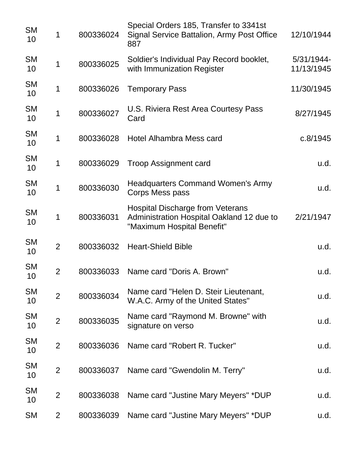| <b>SM</b><br>10 | 1              | 800336024 | Special Orders 185, Transfer to 3341st<br>Signal Service Battalion, Army Post Office<br>887                        | 12/10/1944               |
|-----------------|----------------|-----------|--------------------------------------------------------------------------------------------------------------------|--------------------------|
| <b>SM</b><br>10 | 1              | 800336025 | Soldier's Individual Pay Record booklet,<br>with Immunization Register                                             | 5/31/1944-<br>11/13/1945 |
| <b>SM</b><br>10 | 1              | 800336026 | <b>Temporary Pass</b>                                                                                              | 11/30/1945               |
| <b>SM</b><br>10 | 1              | 800336027 | U.S. Riviera Rest Area Courtesy Pass<br>Card                                                                       | 8/27/1945                |
| <b>SM</b><br>10 | 1              | 800336028 | Hotel Alhambra Mess card                                                                                           | c.8/1945                 |
| <b>SM</b><br>10 | 1              | 800336029 | <b>Troop Assignment card</b>                                                                                       | u.d.                     |
| <b>SM</b><br>10 | 1              | 800336030 | <b>Headquarters Command Women's Army</b><br>Corps Mess pass                                                        | u.d.                     |
| <b>SM</b><br>10 | 1              | 800336031 | <b>Hospital Discharge from Veterans</b><br>Administration Hospital Oakland 12 due to<br>"Maximum Hospital Benefit" | 2/21/1947                |
| <b>SM</b><br>10 | $\overline{2}$ | 800336032 | <b>Heart-Shield Bible</b>                                                                                          | u.d.                     |
| <b>SM</b><br>10 | $\overline{2}$ | 800336033 | Name card "Doris A. Brown"                                                                                         | u.d.                     |
| <b>SM</b><br>10 | $\overline{2}$ | 800336034 | Name card "Helen D. Steir Lieutenant,<br>W.A.C. Army of the United States"                                         | u.d.                     |
| <b>SM</b><br>10 | $\overline{2}$ | 800336035 | Name card "Raymond M. Browne" with<br>signature on verso                                                           | u.d.                     |
| <b>SM</b><br>10 | $\overline{2}$ | 800336036 | Name card "Robert R. Tucker"                                                                                       | u.d.                     |
| <b>SM</b><br>10 | $\overline{2}$ | 800336037 | Name card "Gwendolin M. Terry"                                                                                     | u.d.                     |
| <b>SM</b><br>10 | $\overline{2}$ | 800336038 | Name card "Justine Mary Meyers" *DUP                                                                               | u.d.                     |
| <b>SM</b>       | $\overline{2}$ | 800336039 | Name card "Justine Mary Meyers" *DUP                                                                               | u.d.                     |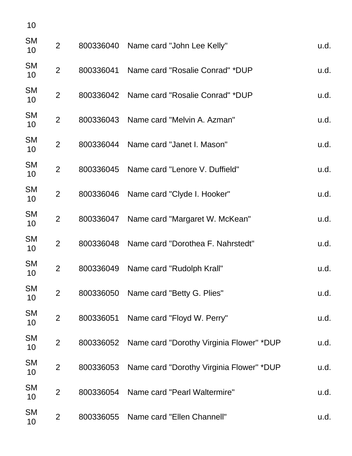| 10                           |                |           |                                          |      |
|------------------------------|----------------|-----------|------------------------------------------|------|
| <b>SM</b><br>10 <sup>°</sup> | 2              | 800336040 | Name card "John Lee Kelly"               | u.d. |
| <b>SM</b><br>10 <sup>°</sup> | $\overline{2}$ | 800336041 | Name card "Rosalie Conrad" *DUP          | u.d. |
| <b>SM</b><br>10              | $\overline{2}$ | 800336042 | Name card "Rosalie Conrad" *DUP          | u.d. |
| <b>SM</b><br>10              | $\overline{2}$ | 800336043 | Name card "Melvin A. Azman"              | u.d. |
| <b>SM</b><br>10              | $\overline{2}$ | 800336044 | Name card "Janet I. Mason"               | u.d. |
| <b>SM</b><br>10              | $\overline{2}$ | 800336045 | Name card "Lenore V. Duffield"           | u.d. |
| <b>SM</b><br>10              | $\overline{2}$ | 800336046 | Name card "Clyde I. Hooker"              | u.d. |
| <b>SM</b><br>10              | $\overline{2}$ | 800336047 | Name card "Margaret W. McKean"           | u.d. |
| <b>SM</b><br>10              | $\overline{2}$ | 800336048 | Name card "Dorothea F. Nahrstedt"        | u.d. |
| <b>SM</b><br>10              | $\overline{2}$ | 800336049 | Name card "Rudolph Krall"                | u.d. |
| <b>SM</b><br>10 <sup>°</sup> | $\overline{2}$ | 800336050 | Name card "Betty G. Plies"               | u.d. |
| <b>SM</b><br>10              | $\overline{2}$ | 800336051 | Name card "Floyd W. Perry"               | u.d. |
| <b>SM</b><br>10              | $\overline{2}$ | 800336052 | Name card "Dorothy Virginia Flower" *DUP | u.d. |
| <b>SM</b><br>10              | $\overline{2}$ | 800336053 | Name card "Dorothy Virginia Flower" *DUP | u.d. |
| <b>SM</b><br>10 <sup>°</sup> | $\overline{2}$ | 800336054 | Name card "Pearl Waltermire"             | u.d. |
| <b>SM</b><br>10              | $\overline{2}$ | 800336055 | Name card "Ellen Channell"               | u.d. |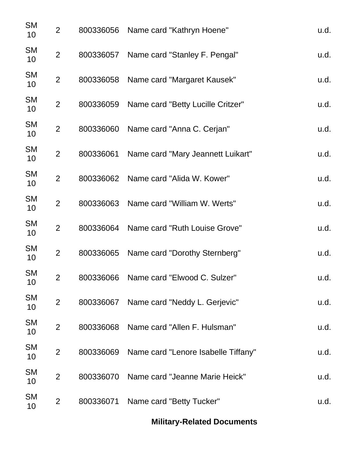| <b>SM</b><br>10              | $\overline{2}$ | 800336056 | Name card "Kathryn Hoene"                     | u.d. |
|------------------------------|----------------|-----------|-----------------------------------------------|------|
| <b>SM</b><br>10              | $\overline{2}$ | 800336057 | Name card "Stanley F. Pengal"                 | u.d. |
| <b>SM</b><br>10 <sup>°</sup> | $\overline{2}$ | 800336058 | Name card "Margaret Kausek"                   | u.d. |
| <b>SM</b><br>10 <sup>°</sup> | $\overline{2}$ | 800336059 | Name card "Betty Lucille Critzer"             | u.d. |
| <b>SM</b><br>10 <sub>1</sub> | $\overline{2}$ | 800336060 | Name card "Anna C. Cerjan"                    | u.d. |
| <b>SM</b><br>10              | $\overline{2}$ | 800336061 | Name card "Mary Jeannett Luikart"             | u.d. |
| <b>SM</b><br>10              | $\overline{2}$ | 800336062 | Name card "Alida W. Kower"                    | u.d. |
| <b>SM</b><br>10 <sup>°</sup> | $\overline{2}$ | 800336063 | Name card "William W. Werts"                  | u.d. |
| <b>SM</b><br>10              | $\overline{2}$ | 800336064 | Name card "Ruth Louise Grove"                 | u.d. |
| <b>SM</b><br>10              | $\overline{2}$ | 800336065 | Name card "Dorothy Sternberg"                 | u.d. |
| <b>SM</b><br>10              | $\overline{2}$ | 800336066 | Name card "Elwood C. Sulzer"                  | u.d. |
| <b>SM</b><br>10              | $\overline{2}$ | 800336067 | Name card "Neddy L. Gerjevic"                 | u.d. |
| <b>SM</b><br>10              | $\overline{2}$ | 800336068 | Name card "Allen F. Hulsman"                  | u.d. |
| <b>SM</b><br>10              | $\overline{2}$ |           | 800336069 Name card "Lenore Isabelle Tiffany" | u.d. |
| <b>SM</b><br>10              | $\overline{2}$ | 800336070 | Name card "Jeanne Marie Heick"                | u.d. |
| <b>SM</b><br>10              | $\overline{2}$ | 800336071 | Name card "Betty Tucker"                      | u.d. |
|                              |                |           |                                               |      |

**Military-Related Documents**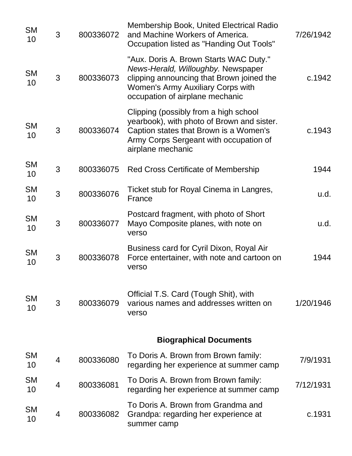| <b>SM</b><br>10 | 3              | 800336072 | <b>Membership Book, United Electrical Radio</b><br>and Machine Workers of America.<br>Occupation listed as "Handing Out Tools"                                                                           | 7/26/1942 |
|-----------------|----------------|-----------|----------------------------------------------------------------------------------------------------------------------------------------------------------------------------------------------------------|-----------|
| <b>SM</b><br>10 | 3              | 800336073 | "Aux. Doris A. Brown Starts WAC Duty."<br>News-Herald, Willoughby. Newspaper<br>clipping announcing that Brown joined the<br><b>Women's Army Auxiliary Corps with</b><br>occupation of airplane mechanic | c.1942    |
| <b>SM</b><br>10 | 3              | 800336074 | Clipping (possibly from a high school<br>yearbook), with photo of Brown and sister.<br>Caption states that Brown is a Women's<br>Army Corps Sergeant with occupation of<br>airplane mechanic             | c.1943    |
| <b>SM</b><br>10 | 3              | 800336075 | <b>Red Cross Certificate of Membership</b>                                                                                                                                                               | 1944      |
| <b>SM</b><br>10 | 3              | 800336076 | Ticket stub for Royal Cinema in Langres,<br>France                                                                                                                                                       | u.d.      |
| <b>SM</b><br>10 | 3              | 800336077 | Postcard fragment, with photo of Short<br>Mayo Composite planes, with note on<br>verso                                                                                                                   | u.d.      |
| <b>SM</b><br>10 | 3              | 800336078 | Business card for Cyril Dixon, Royal Air<br>Force entertainer, with note and cartoon on<br>verso                                                                                                         | 1944      |
| <b>SM</b><br>10 | 3              | 800336079 | Official T.S. Card (Tough Shit), with<br>various names and addresses written on<br>verso                                                                                                                 | 1/20/1946 |
|                 |                |           | <b>Biographical Documents</b>                                                                                                                                                                            |           |
| <b>SM</b><br>10 | $\overline{4}$ | 800336080 | To Doris A. Brown from Brown family:<br>regarding her experience at summer camp                                                                                                                          | 7/9/1931  |
| <b>SM</b><br>10 | $\overline{4}$ | 800336081 | To Doris A. Brown from Brown family:<br>regarding her experience at summer camp                                                                                                                          | 7/12/1931 |
| <b>SM</b><br>10 | 4              | 800336082 | To Doris A. Brown from Grandma and<br>Grandpa: regarding her experience at<br>summer camp                                                                                                                | c.1931    |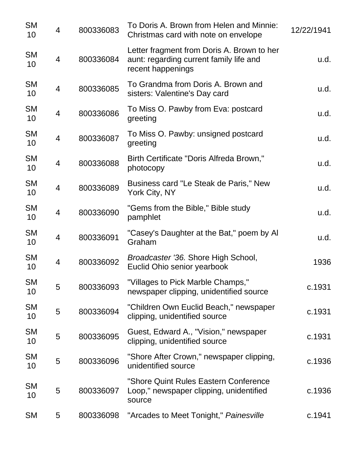| <b>SM</b><br>10 | $\overline{4}$ | 800336083 | To Doris A. Brown from Helen and Minnie:<br>Christmas card with note on envelope                           | 12/22/1941 |
|-----------------|----------------|-----------|------------------------------------------------------------------------------------------------------------|------------|
| <b>SM</b><br>10 | $\overline{4}$ | 800336084 | Letter fragment from Doris A. Brown to her<br>aunt: regarding current family life and<br>recent happenings | u.d.       |
| <b>SM</b><br>10 | $\overline{4}$ | 800336085 | To Grandma from Doris A. Brown and<br>sisters: Valentine's Day card                                        | u.d.       |
| <b>SM</b><br>10 | $\overline{4}$ | 800336086 | To Miss O. Pawby from Eva: postcard<br>greeting                                                            | u.d.       |
| <b>SM</b><br>10 | $\overline{4}$ | 800336087 | To Miss O. Pawby: unsigned postcard<br>greeting                                                            | u.d.       |
| <b>SM</b><br>10 | $\overline{4}$ | 800336088 | Birth Certificate "Doris Alfreda Brown,"<br>photocopy                                                      | u.d.       |
| <b>SM</b><br>10 | $\overline{4}$ | 800336089 | Business card "Le Steak de Paris," New<br>York City, NY                                                    | u.d.       |
| <b>SM</b><br>10 | $\overline{4}$ | 800336090 | "Gems from the Bible," Bible study<br>pamphlet                                                             | u.d.       |
| <b>SM</b><br>10 | $\overline{4}$ | 800336091 | "Casey's Daughter at the Bat," poem by Al<br>Graham                                                        | u.d.       |
| <b>SM</b><br>10 | $\overline{4}$ | 800336092 | Broadcaster '36. Shore High School,<br>Euclid Ohio senior yearbook                                         | 1936       |
| <b>SM</b><br>10 | 5              | 800336093 | "Villages to Pick Marble Champs,"<br>newspaper clipping, unidentified source                               | c.1931     |
| <b>SM</b><br>10 | 5              | 800336094 | "Children Own Euclid Beach," newspaper<br>clipping, unidentified source                                    | c.1931     |
| <b>SM</b><br>10 | 5              | 800336095 | Guest, Edward A., "Vision," newspaper<br>clipping, unidentified source                                     | c.1931     |
| <b>SM</b><br>10 | 5              | 800336096 | "Shore After Crown," newspaper clipping,<br>unidentified source                                            | c.1936     |
| <b>SM</b><br>10 | 5              | 800336097 | "Shore Quint Rules Eastern Conference<br>Loop," newspaper clipping, unidentified<br>source                 | c.1936     |
| <b>SM</b>       | 5              | 800336098 | "Arcades to Meet Tonight," Painesville                                                                     | c.1941     |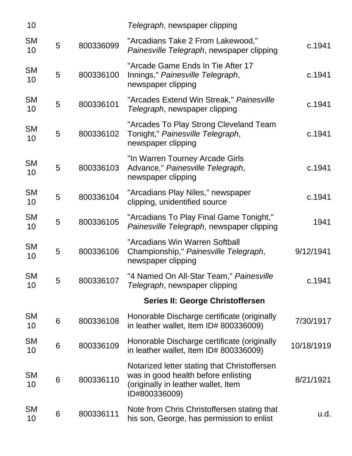| 10              |   |           | Telegraph, newspaper clipping                                                                                                               |            |
|-----------------|---|-----------|---------------------------------------------------------------------------------------------------------------------------------------------|------------|
| <b>SM</b><br>10 | 5 | 800336099 | "Arcadians Take 2 From Lakewood,"<br>Painesville Telegraph, newspaper clipping                                                              | c.1941     |
| <b>SM</b><br>10 | 5 | 800336100 | "Arcade Game Ends In Tie After 17<br>Innings," Painesville Telegraph,<br>newspaper clipping                                                 | c.1941     |
| <b>SM</b><br>10 | 5 | 800336101 | "Arcades Extend Win Streak," Painesville<br>Telegraph, newspaper clipping                                                                   | c.1941     |
| <b>SM</b><br>10 | 5 | 800336102 | "Arcades To Play Strong Cleveland Team<br>Tonight," Painesville Telegraph,<br>newspaper clipping                                            | c.1941     |
| <b>SM</b><br>10 | 5 | 800336103 | "In Warren Tourney Arcade Girls<br>Advance," Painesville Telegraph,<br>newspaper clipping                                                   | c.1941     |
| <b>SM</b><br>10 | 5 | 800336104 | "Arcadians Play Niles," newspaper<br>clipping, unidentified source                                                                          | c.1941     |
| <b>SM</b><br>10 | 5 | 800336105 | "Arcadians To Play Final Game Tonight,"<br>Painesville Telegraph, newspaper clipping                                                        | 1941       |
| <b>SM</b><br>10 | 5 | 800336106 | "Arcadians Win Warren Softball<br>Championship," Painesville Telegraph,<br>newspaper clipping                                               | 9/12/1941  |
| <b>SM</b><br>10 | 5 | 800336107 | "4 Named On All-Star Team," Painesville<br>Telegraph, newspaper clipping                                                                    | c.1941     |
|                 |   |           | Series II: George Christoffersen                                                                                                            |            |
| <b>SM</b><br>10 | 6 | 800336108 | Honorable Discharge certificate (originally<br>in leather wallet, Item ID# 800336009)                                                       | 7/30/1917  |
| <b>SM</b><br>10 | 6 | 800336109 | Honorable Discharge certificate (originally<br>in leather wallet, Item ID# 800336009)                                                       | 10/18/1919 |
| <b>SM</b><br>10 | 6 | 800336110 | Notarized letter stating that Christoffersen<br>was in good health before enlisting<br>(originally in leather wallet, Item<br>ID#800336009) | 8/21/1921  |
| <b>SM</b><br>10 | 6 | 800336111 | Note from Chris Christoffersen stating that<br>his son, George, has permission to enlist                                                    | u.d.       |